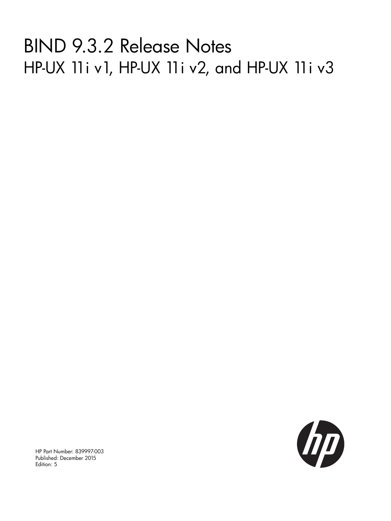# BIND 9.3.2 Release Notes HP-UX 11i v1, HP-UX 11i v2, and HP-UX 11i v3



HP Part Number: 839997-003 Published: December 2015 Edition: 5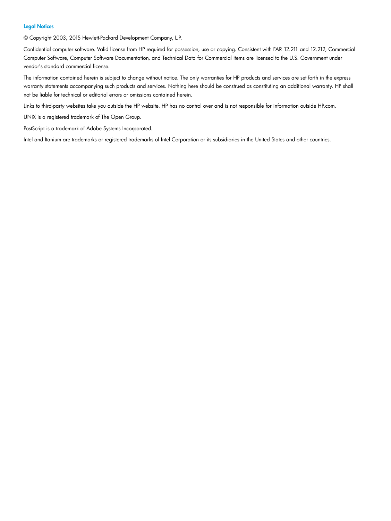#### Legal Notices

© Copyright 2003, 2015 Hewlett-Packard Development Company, L.P.

Confidential computer software. Valid license from HP required for possession, use or copying. Consistent with FAR 12.211 and 12.212, Commercial Computer Software, Computer Software Documentation, and Technical Data for Commercial Items are licensed to the U.S. Government under vendor's standard commercial license.

The information contained herein is subject to change without notice. The only warranties for HP products and services are set forth in the express warranty statements accompanying such products and services. Nothing here should be construed as constituting an additional warranty. HP shall not be liable for technical or editorial errors or omissions contained herein.

Links to third-party websites take you outside the HP website. HP has no control over and is not responsible for information outside HP.com.

UNIX is a registered trademark of The Open Group.

PostScript is a trademark of Adobe Systems Incorporated.

Intel and Itanium are trademarks or registered trademarks of Intel Corporation or its subsidiaries in the United States and other countries.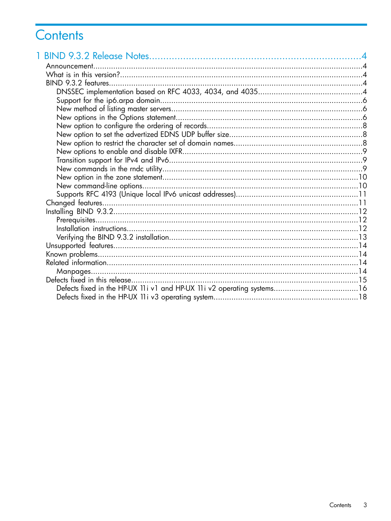# Contents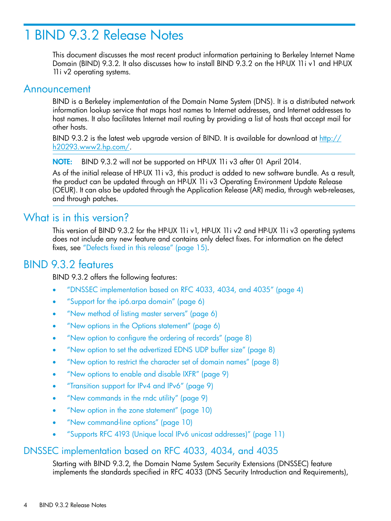## <span id="page-3-0"></span>1 BIND 9.3.2 Release Notes

<span id="page-3-1"></span>This document discusses the most recent product information pertaining to Berkeley Internet Name Domain (BIND) 9.3.2. It also discusses how to install BIND 9.3.2 on the HP-UX 11i v1 and HP-UX 11i v2 operating systems.

#### Announcement

BIND is a Berkeley implementation of the Domain Name System (DNS). It is a distributed network information lookup service that maps host names to Internet addresses, and Internet addresses to host names. It also facilitates Internet mail routing by providing a list of hosts that accept mail for other hosts.

BIND 9.3.2 is the latest web upgrade version of BIND. It is available for download at [http://](http://h20293.www2.hp.com/) [h20293.www2.hp.com/](http://h20293.www2.hp.com/).

NOTE: BIND 9.3.2 will not be supported on HP-UX 11i v3 after 01 April 2014.

<span id="page-3-2"></span>As of the initial release of HP-UX 11i v3, this product is added to new software bundle. As a result, the product can be updated through an HP-UX 11i v3 Operating Environment Update Release (OEUR). It can also be updated through the Application Release (AR) media, through web-releases, and through patches.

### What is in this version?

<span id="page-3-3"></span>This version of BIND 9.3.2 for the HP-UX 11i v1, HP-UX 11i v2 and HP-UX 11i v3 operating systems does not include any new feature and contains only defect fixes. For information on the defect fixes, see ["Defects](#page-14-0) fixed in this release" (page 15).

### BIND 9.3.2 features

BIND 9.3.2 offers the following features:

- "DNSSEC [implementation](#page-3-4) based on RFC 4033, 4034, and 4035" (page 4)
- ["Support](#page-5-0) for the ip6.arpa domain" (page 6)
- "New method of listing master [servers"](#page-5-1) (page 6)
- "New options in the Options [statement"](#page-5-2) (page 6)
- "New option to [configure](#page-7-0) the ordering of records" (page 8)
- "New option to set the [advertized](#page-7-1) EDNS UDP buffer size" (page 8)
- "New option to restrict the [character](#page-7-2) set of domain names" (page 8)
- "New options to enable and [disable](#page-8-0) IXFR" (page 9)
- ["Transition](#page-8-1) support for IPv4 and IPv6" (page 9)
- <span id="page-3-4"></span>• "New [commands](#page-8-2) in the rndc utility" (page 9)
- "New option in the zone [statement"](#page-9-0) (page 10)
- "New [command-line](#page-9-1) options" (page 10)
- "Supports RFC 4193 (Unique local IPv6 unicast [addresses\)"](#page-10-0) (page 11)

### DNSSEC implementation based on RFC 4033, 4034, and 4035

Starting with BIND 9.3.2, the Domain Name System Security Extensions (DNSSEC) feature implements the standards specified in RFC 4033 (DNS Security Introduction and Requirements),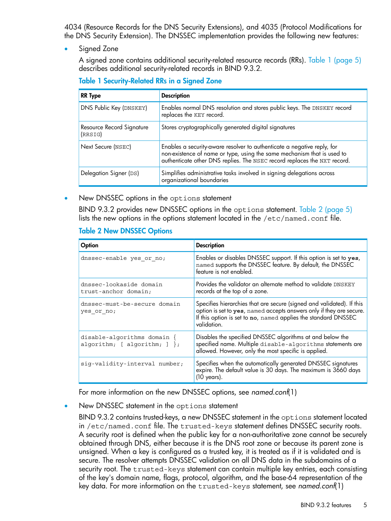4034 (Resource Records for the DNS Security Extensions), and 4035 (Protocol Modifications for the DNS Security Extension). The DNSSEC implementation provides the following new features:

Signed Zone

A signed zone contains additional security-related resource records (RRs). Table 1 [\(page](#page-4-0) 5) describes additional security-related records in BIND 9.3.2.

<span id="page-4-0"></span>

| Table 1 Security-Related RRs in a Signed Zone |  |  |  |
|-----------------------------------------------|--|--|--|

| <b>RR</b> Type                       | <b>Description</b>                                                                                                                                                                                                             |  |
|--------------------------------------|--------------------------------------------------------------------------------------------------------------------------------------------------------------------------------------------------------------------------------|--|
| DNS Public Key (DNSKEY)              | Enables normal DNS resolution and stores public keys. The DNSKEY record<br>replaces the KEY record.                                                                                                                            |  |
| Resource Record Signature<br>(RRSTG) | Stores cryptographically generated digital signatures                                                                                                                                                                          |  |
| Next Secure (NSEC)                   | Enables a security-aware resolver to authenticate a negative reply, for<br>non-existence of name or type, using the same mechanism that is used to<br>authenticate other DNS replies. The NSEC record replaces the NXT record. |  |
| Delegation Signer (DS)               | Simplifies administrative tasks involved in signing delegations across<br>organizational boundaries                                                                                                                            |  |

New DNSSEC options in the options statement

<span id="page-4-1"></span>BIND 9.3.2 provides new DNSSEC options in the options statement. Table 2 [\(page](#page-4-1) 5) lists the new options in the options statement located in the /etc/named.conf file.

#### Table 2 New DNSSEC Options

| Option                                                          | <b>Description</b>                                                                                                                                                                                                             |
|-----------------------------------------------------------------|--------------------------------------------------------------------------------------------------------------------------------------------------------------------------------------------------------------------------------|
| dnssec-enable yes or no;                                        | Enables or disables DNSSEC support. If this option is set to yes,<br>named supports the DNSSEC feature. By default, the DNSSEC<br>feature is not enabled.                                                                      |
| dnssec-lookaside domain<br>trust-anchor domain;                 | Provides the validator an alternate method to validate DNSKEY<br>records at the top of a zone.                                                                                                                                 |
| dnssec-must-be-secure domain<br>yes or no;                      | Specifies hierarchies that are secure (signed and validated). If this<br>option is set to yes, named accepts answers only if they are secure.<br>If this option is set to no, named applies the standard DNSSEC<br>validation. |
| disable-algorithms domain {<br>algorithm; $[$ algorithm; $]$ }; | Disables the specified DNSSEC algorithms at and below the<br>specified name. Multiple disable-algorithms statements are<br>allowed. However, only the most specific is applied.                                                |
| siq-validity-interval number;                                   | Specifies when the automatically generated DNSSEC signatures<br>expire. The default value is 30 days. The maximum is 3660 days<br>(10 years).                                                                                  |

For more information on the new DNSSEC options, see *named.conf*(1)

• New DNSSEC statement in the options statement

BIND 9.3.2 contains trusted-keys, a new DNSSEC statement in the options statement located in /etc/named.conf file. The trusted-keys statement defines DNSSEC security roots. A security root is defined when the public key for a non-authoritative zone cannot be securely obtained through DNS, either because it is the DNS root zone or because its parent zone is unsigned. When a key is configured as a trusted key, it is treated as if it is validated and is secure. The resolver attempts DNSSEC validation on all DNS data in the subdomains of a security root. The trusted-keys statement can contain multiple key entries, each consisting of the key's domain name, flags, protocol, algorithm, and the base-64 representation of the key data. For more information on the trusted-keys statement, see *named.conf*(1)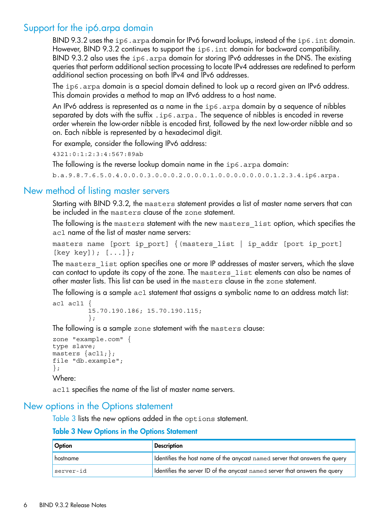### Support for the ip6.arpa domain

<span id="page-5-0"></span>BIND 9.3.2 uses the  $ip6$ . arpa domain for IPv6 forward lookups, instead of the  $ip6$ . int domain. However, BIND 9.3.2 continues to support the ip6.int domain for backward compatibility. BIND 9.3.2 also uses the ip6.arpa domain for storing IPv6 addresses in the DNS. The existing queries that perform additional section processing to locate IPv4 addresses are redefined to perform additional section processing on both IPv4 and IPv6 addresses.

The ip6.arpa domain is a special domain defined to look up a record given an IPv6 address. This domain provides a method to map an IPv6 address to a host name.

An IPv6 address is represented as a name in the  $ip6.\text{arg}$  domain by a sequence of nibbles separated by dots with the suffix . ip6.arpa. The sequence of nibbles is encoded in reverse order wherein the low-order nibble is encoded first, followed by the next low-order nibble and so on. Each nibble is represented by a hexadecimal digit.

For example, consider the following IPv6 address:

4321:0:1:2:3:4:567:89ab

<span id="page-5-1"></span>The following is the reverse lookup domain name in the ip6.arpa domain:

b.a.9.8.7.6.5.0.4.0.0.0.3.0.0.0.2.0.0.0.1.0.0.0.0.0.0.0.1.2.3.4.ip6.arpa.

### New method of listing master servers

Starting with BIND 9.3.2, the masters statement provides a list of master name servers that can be included in the masters clause of the zone statement.

The following is the masters statement with the new masters list option, which specifies the acl name of the list of master name servers:

```
masters name [port ip port] \{ (masters list | ip addr [port ip port]
[\text{key key}); [...];
```
The masters list option specifies one or more IP addresses of master servers, which the slave can contact to update its copy of the zone. The masters\_list elements can also be names of other master lists. This list can be used in the masters clause in the zone statement.

The following is a sample ac1 statement that assigns a symbolic name to an address match list:

```
acl acl1 \{ 15.70.190.186; 15.70.190.115;
 };
```
The following is a sample zone statement with the masters clause:

```
zone "example.com" { 
type slave; 
masters \{ \text{acl1}; \};
file "db.example";
};
Where:
```
<span id="page-5-3"></span>acl1 specifies the name of the list of master name servers.

#### New options in the Options statement

[Table](#page-5-3) 3 lists the new options added in the options statement.

#### Table 3 New Options in the Options Statement

| <b>Option</b> | <b>Description</b>                                                          |
|---------------|-----------------------------------------------------------------------------|
| hostname      | Identifies the host name of the anycast named server that answers the query |
| server-id     | Identifies the server ID of the anycast named server that answers the query |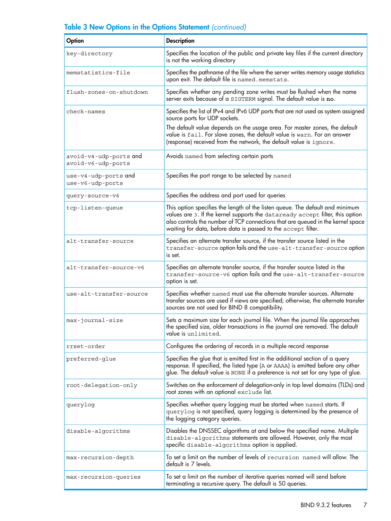| Option                                       | <b>Description</b>                                                                                                                                                                                                                                                                                                 |
|----------------------------------------------|--------------------------------------------------------------------------------------------------------------------------------------------------------------------------------------------------------------------------------------------------------------------------------------------------------------------|
| key-directory                                | Specifies the location of the public and private key files if the current directory<br>is not the working directory                                                                                                                                                                                                |
| memstatistics-file                           | Specifies the pathname of the file where the server writes memory usage statistics<br>upon exit. The default file is named. memstats.                                                                                                                                                                              |
| flush-zones-on-shutdown                      | Specifies whether any pending zone writes must be flushed when the name<br>server exits because of a SIGTERM signal. The default value is no.                                                                                                                                                                      |
| check-names                                  | Specifies the list of IPv4 and IPv6 UDP ports that are not used as system assigned<br>source ports for UDP sockets.                                                                                                                                                                                                |
|                                              | The default value depends on the usage area. For master zones, the default<br>value is fail. For slave zones, the default value is warn. For an answer<br>(response) received from the network, the default value is ignore.                                                                                       |
| avoid-v4-udp-ports and<br>avoid-v6-udp-ports | Avoids named from selecting certain ports                                                                                                                                                                                                                                                                          |
| use-v4-udp-ports and<br>use-v6-udp-ports     | Specifies the port range to be selected by named                                                                                                                                                                                                                                                                   |
| query-source-v6                              | Specifies the address and port used for queries                                                                                                                                                                                                                                                                    |
| tcp-listen-queue                             | This option specifies the length of the listen queue. The default and minimum<br>values are 3. If the kernel supports the dataready accept filter, this option<br>also controls the number of TCP connections that are queued in the kernel space<br>waiting for data, before data is passed to the accept filter. |
| alt-transfer-source                          | Specifies an alternate transfer source, if the transfer source listed in the<br>transfer-source option fails and the use-alt-transfer-source option<br>is set.                                                                                                                                                     |
| alt-transfer-source-v6                       | Specifies an alternate transfer source, if the transfer source listed in the<br>transfer-source-v6 option fails and the use-alt-transfer-source<br>option is set.                                                                                                                                                  |
| use-alt-transfer-source                      | Specifies whether named must use the alternate transfer sources. Alternate<br>transfer sources are used if views are specified; otherwise, the alternate transfer<br>sources are not used for BIND 8 compatibility.                                                                                                |
| max-journal-size                             | Sets a maximum size for each journal file. When the journal file approaches<br>the specified size, older transactions in the journal are removed. The default<br>value is unlimited.                                                                                                                               |
| rrset-order                                  | Configures the ordering of records in a multiple record response                                                                                                                                                                                                                                                   |
| preferred-glue                               | Specifies the glue that is emitted first in the additional section of a query<br>response. If specified, the listed type (A or AAAA) is emitted before any other<br>glue. The default value is NONE if a preference is not set for any type of glue.                                                               |
| root-delegation-only                         | Switches on the enforcement of delegation-only in top level domains (TLDs) and<br>root zones with an optional exclude list.                                                                                                                                                                                        |
| querylog                                     | Specifies whether query logging must be started when named starts. If<br>querylog is not specified, query logging is determined by the presence of<br>the logging category queries.                                                                                                                                |
| disable-algorithms                           | Disables the DNSSEC algorithms at and below the specified name. Multiple<br>disable-algorithms statements are allowed. However, only the most<br>specific disable-algorithms option is applied.                                                                                                                    |
| max-recursion-depth                          | To set a limit on the number of levels of recursion named will allow. The<br>default is 7 levels.                                                                                                                                                                                                                  |
| max-recursion-queries                        | To set a limit on the number of iterative queries named will send before<br>terminating a recursive query. The default is 50 queries.                                                                                                                                                                              |

### Table 3 New Options in the Options Statement *(continued)*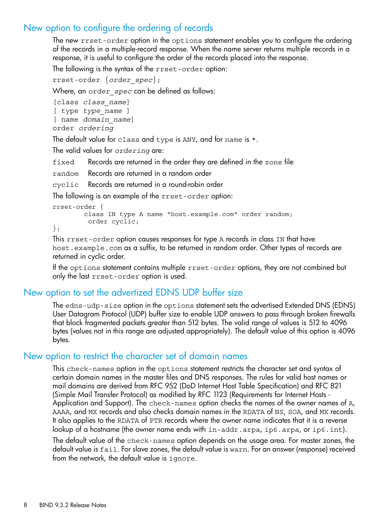### New option to configure the ordering of records

<span id="page-7-0"></span>The new rrset-order option in the options statement enables you to configure the ordering of the records in a multiple-record response. When the name server returns multiple records in a response, it is useful to configure the order of the records placed into the response.

The following is the syntax of the rrset-order option:

```
rrset-order {order_spec};
```
Where, an *order\_spec* can be defined as follows:

```
[class class_name]
[ type type_name ]
[ name domain_name]
order ordering
```
The default value for class and type is ANY, and for name is  $*$ .

The valid values for *ordering* are:

fixed Records are returned in the order they are defined in the zone file

random Records are returned in a random order

cyclic Records are returned in a round-robin order

The following is an example of the rrset-order option:

```
rrset-order {
         class IN type A name "host.example.com" order random;
          order cyclic;
```
#### };

This rrset-order option causes responses for type A records in class IN that have host.example.com as a suffix, to be returned in random order. Other types of records are returned in cyclic order.

<span id="page-7-1"></span>If the options statement contains multiple rrset-order options, they are not combined but only the last rrset-order option is used.

### New option to set the advertized EDNS UDP buffer size

<span id="page-7-2"></span>The edns-udp-size option in the options statement sets the advertised Extended DNS (EDNS) User Datagram Protocol (UDP) buffer size to enable UDP answers to pass through broken firewalls that block fragmented packets greater than 512 bytes. The valid range of values is 512 to 4096 bytes (values not in this range are adjusted appropriately). The default value of this option is 4096 bytes.

#### New option to restrict the character set of domain names

This check-names option in the options statement restricts the character set and syntax of certain domain names in the master files and DNS responses. The rules for valid host names or mail domains are derived from RFC 952 (DoD Internet Host Table Specification) and RFC 821 (Simple Mail Transfer Protocol) as modified by RFC 1123 (Requirements for Internet Hosts - Application and Support). The check-names option checks the names of the owner names of A, AAAA, and MX records and also checks domain names in the RDATA of NS, SOA, and MX records. It also applies to the RDATA of PTR records where the owner name indicates that it is a reverse lookup of a hostname (the owner name ends with in-addr.arpa, ip6.arpa, or ip6.int).

The default value of the check-names option depends on the usage area. For master zones, the default value is fail. For slave zones, the default value is warn. For an answer (response) received from the network, the default value is ignore.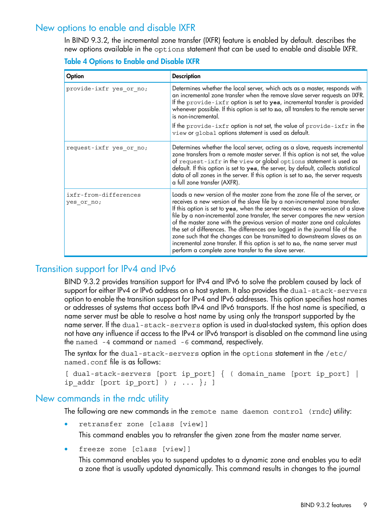### New options to enable and disable IXFR

<span id="page-8-0"></span>In BIND 9.3.2, the incremental zone transfer (IXFR) feature is enabled by default. describes the new options available in the options statement that can be used to enable and disable IXFR.

#### Table 4 Options to Enable and Disable IXFR

| Option                              | <b>Description</b>                                                                                                                                                                                                                                                                                                                                                                                                                                                                                                                                                                                                                                                                                                 |
|-------------------------------------|--------------------------------------------------------------------------------------------------------------------------------------------------------------------------------------------------------------------------------------------------------------------------------------------------------------------------------------------------------------------------------------------------------------------------------------------------------------------------------------------------------------------------------------------------------------------------------------------------------------------------------------------------------------------------------------------------------------------|
| provide-ixfr yes_or_no;             | Determines whether the local server, which acts as a master, responds with<br>an incremental zone transfer when the remove slave server requests an IXFR.<br>If the provide-ixfr option is set to yes, incremental transfer is provided<br>whenever possible. If this option is set to no, all transfers to the remote server<br>is non-incremental.                                                                                                                                                                                                                                                                                                                                                               |
|                                     | If the provide-ixfr option is not set, the value of provide-ixfr in the<br>view or global options statement is used as default.                                                                                                                                                                                                                                                                                                                                                                                                                                                                                                                                                                                    |
| request-ixfr yes or no;             | Determines whether the local server, acting as a slave, requests incremental<br>zone transfers from a remote master server. If this option is not set, the value<br>of request-ixfr in the view or global options statement is used as<br>default. If this option is set to yes, the server, by default, collects statistical<br>data of all zones in the server. If this option is set to no, the server requests<br>a full zone transfer (AXFR).                                                                                                                                                                                                                                                                 |
| ixfr-from-differences<br>yes or no; | Loads a new version of the master zone from the zone file of the server, or<br>receives a new version of the slave file by a non-incremental zone transfer.<br>If this option is set to yes, when the server receives a new version of a slave<br>file by a non-incremental zone transfer, the server compares the new version<br>of the master zone with the previous version of master zone and calculates<br>the set of differences. The differences are logged in the journal file of the<br>zone such that the changes can be transmitted to downstream slaves as an<br>incremental zone transfer. If this option is set to no, the name server must<br>perform a complete zone transfer to the slave server. |

### <span id="page-8-1"></span>Transition support for IPv4 and IPv6

BIND 9.3.2 provides transition support for IPv4 and IPv6 to solve the problem caused by lack of support for either IPv4 or IPv6 address on a host system. It also provides the dual-stack-servers option to enable the transition support for IPv4 and IPv6 addresses. This option specifies host names or addresses of systems that access both IPv4 and IPv6 transports. If the host name is specified, a name server must be able to resolve a host name by using only the transport supported by the name server. If the dual-stack-servers option is used in dual-stacked system, this option does not have any influence if access to the IPv4 or IPv6 transport is disabled on the command line using the named -4 command or named -6 command, respectively.

<span id="page-8-2"></span>The syntax for the dual-stack-servers option in the options statement in the /etc/ named.conf file is as follows:

```
[ dual-stack-servers [port ip_port] { ( domain_name [port ip_port] |
ip addr [port ip port] ) ; ... \}; ]
```
#### New commands in the rndc utility

The following are new commands in the remote name daemon control (rndc) utility:

- retransfer zone [class [view]] This command enables you to retransfer the given zone from the master name server.
- freeze zone [class [view]]

This command enables you to suspend updates to a dynamic zone and enables you to edit a zone that is usually updated dynamically. This command results in changes to the journal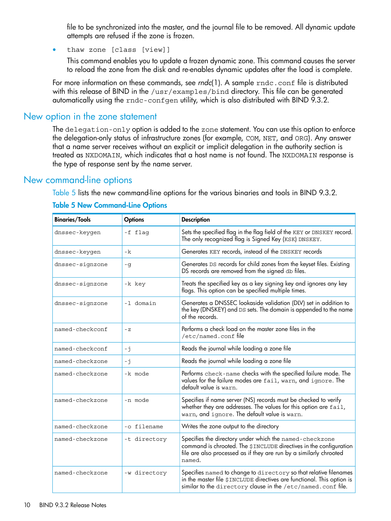file to be synchronized into the master, and the journal file to be removed. All dynamic update attempts are refused if the zone is frozen.

• thaw zone [class [view]]

This command enables you to update a frozen dynamic zone. This command causes the server to reload the zone from the disk and re-enables dynamic updates after the load is complete.

<span id="page-9-0"></span>For more information on these commands, see *rndc*(1). A sample  $\text{rndc}$ .conf file is distributed with this release of BIND in the /usr/examples/bind directory. This file can be generated automatically using the rndc-confgen utility, which is also distributed with BIND 9.3.2.

### New option in the zone statement

<span id="page-9-1"></span>The delegation-only option is added to the zone statement. You can use this option to enforce the delegation-only status of infrastructure zones (for example, COM, NET, and ORG). Any answer that a name server receives without an explicit or implicit delegation in the authority section is treated as NXDOMAIN, which indicates that a host name is not found. The NXDOMAIN response is the type of response sent by the name server.

### New command-line options

<span id="page-9-2"></span>[Table](#page-9-2) 5 lists the new command-line options for the various binaries and tools in BIND 9.3.2.

#### Table 5 New Command-Line Options

| <b>Binaries/Tools</b> | <b>Options</b> | <b>Description</b>                                                                                                                                                                                            |
|-----------------------|----------------|---------------------------------------------------------------------------------------------------------------------------------------------------------------------------------------------------------------|
| dnssec-keygen         | -f flag        | Sets the specified flag in the flag field of the KEY or DNSKEY record.<br>The only recognized flag is Signed Key (KSK) DNSKEY.                                                                                |
| dnssec-keygen         | -k             | Generates KEY records, instead of the DNSKEY records                                                                                                                                                          |
| dnssec-signzone       | $-q$           | Generates DS records for child zones from the keyset files. Existing<br>DS records are removed from the signed db files.                                                                                      |
| dnssec-signzone       | -k key         | Treats the specified key as a key signing key and ignores any key<br>flags. This option can be specified multiple times.                                                                                      |
| dnssec-signzone       | -1 domain      | Generates a DNSSEC lookaside validation (DLV) set in addition to<br>the key (DNSKEY) and DS sets. The domain is appended to the name<br>of the records.                                                       |
| named-checkconf       | $-72$          | Performs a check load on the master zone files in the<br>/etc/named.conf file                                                                                                                                 |
| named-checkconf       | -j             | Reads the journal while loading a zone file                                                                                                                                                                   |
| named-checkzone       | $-1$           | Reads the journal while loading a zone file                                                                                                                                                                   |
| named-checkzone       | -k mode        | Performs check-name checks with the specified failure mode. The<br>values for the failure modes are fail, warn, and ignore. The<br>default value is warn.                                                     |
| named-checkzone       | -n mode        | Specifies if name server (NS) records must be checked to verify<br>whether they are addresses. The values for this option are fail,<br>warn, and ignore. The default value is warn.                           |
| named-checkzone       | -o filename    | Writes the zone output to the directory                                                                                                                                                                       |
| named-checkzone       | -t directory   | Specifies the directory under which the named-checkzone<br>command is chrooted. The \$INCLUDE directives in the configuration<br>file are also processed as if they are run by a similarly chrooted<br>named. |
| named-checkzone       | -w directory   | Specifies named to change to directory so that relative filenames<br>in the master file \$INCLUDE directives are functional. This option is<br>similar to the directory clause in the /etc/named.conf file.   |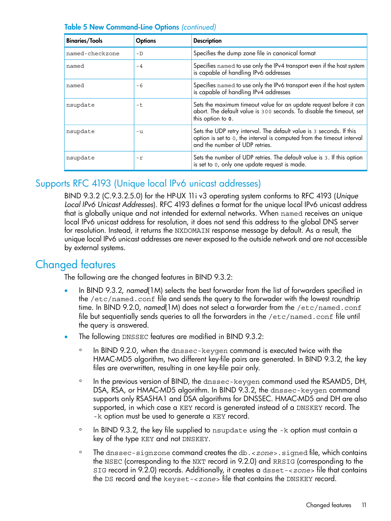| <b>Binaries/Tools</b> | <b>Options</b> | <b>Description</b>                                                                                                                                                               |  |
|-----------------------|----------------|----------------------------------------------------------------------------------------------------------------------------------------------------------------------------------|--|
| named-checkzone       | $-D$           | Specifies the dump zone file in canonical format                                                                                                                                 |  |
| named                 | $-4$           | Specifies named to use only the IPv4 transport even if the host system<br>is capable of handling IPv6 addresses                                                                  |  |
| named                 | - 6            | Specifies named to use only the IPv6 transport even if the host system<br>is capable of handling IPv4 addresses                                                                  |  |
| nsupdate              | -t.            | Sets the maximum timeout value for an update request before it can<br>abort. The default value is 300 seconds. To disable the timeout, set<br>this option to 0.                  |  |
| nsupdate              | $-u$           | Sets the UDP retry interval. The default value is 3 seconds. If this<br>option is set to 0, the interval is computed from the timeout interval<br>and the number of UDP retries. |  |
| nsupdate              | $-1$           | Sets the number of UDP retries. The default value is 3. If this option<br>is set to 0, only one update request is made.                                                          |  |

#### Table 5 New Command-Line Options *(continued)*

### <span id="page-10-0"></span>Supports RFC 4193 (Unique local IPv6 unicast addresses)

<span id="page-10-1"></span>BIND 9.3.2 (C.9.3.2.5.0) for the HP-UX 11i v3 operating system conforms to RFC 4193 (*Unique Local IPv6 Unicast Addresses*). RFC 4193 defines a format for the unique local IPv6 unicast address that is globally unique and not intended for external networks. When named receives an unique local IPv6 unicast address for resolution, it does not send this address to the global DNS server for resolution. Instead, it returns the NXDOMAIN response message by default. As a result, the unique local IPv6 unicast addresses are never exposed to the outside network and are not accessible by external systems.

### Changed features

The following are the changed features in BIND 9.3.2:

- In BIND 9.3.2, *named*(1M) selects the best forwarder from the list of forwarders specified in the /etc/named.conf file and sends the query to the forwader with the lowest roundtrip time. In BIND 9.2.0, *named*(1M) does not select a forwarder from the /etc/named.conf file but sequentially sends queries to all the forwarders in the /etc/named.conf file until the query is answered.
- The following DNSSEC features are modified in BIND 9.3.2:
	- In BIND 9.2.0, when the dnssec-keygen command is executed twice with the HMAC-MD5 algorithm, two different key-file pairs are generated. In BIND 9.3.2, the key files are overwritten, resulting in one key-file pair only.  $\circ$
	- In the previous version of BIND, the dnssec-keygen command used the RSAMD5, DH, DSA, RSA, or HMAC-MD5 algorithm. In BIND 9.3.2, the dnssec-keygen command supports only RSASHA1 and DSA algorithms for DNSSEC. HMAC-MD5 and DH are also supported, in which case a KEY record is generated instead of a DNSKEY record. The -k option must be used to generate a KEY record.
	- In BIND 9.3.2, the key file supplied to nsupdate using the -k option must contain a key of the type KEY and not DNSKEY.
	- The dnssec-signzone command creates the db.<*zone*>.signed file, which contains the NSEC (corresponding to the NXT record in 9.2.0) and RRSIG (corresponding to the SIG record in 9.2.0) records. Additionally, it creates a dsset-<*zone*> file that contains the DS record and the keyset-<*zone*> file that contains the DNSKEY record.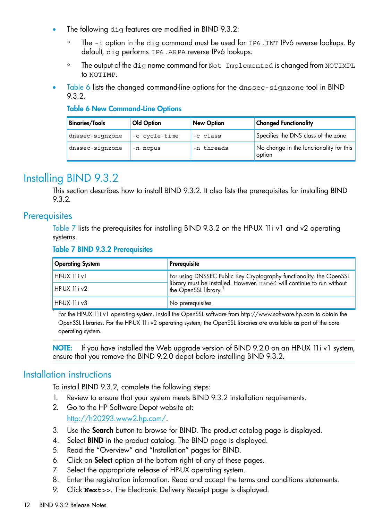- The following dig features are modified in BIND 9.3.2:
	- The -i option in the dig command must be used for IP6.INT IPv6 reverse lookups. By default, dig performs IP6.ARPA reverse IPv6 lookups.  $\circ$
	- The output of the dig name command for Not Implemented is changed from NOTIMPL to NOTIMP.
- <span id="page-11-3"></span>[Table](#page-11-3) 6 lists the changed command-line options for the dnssec-signzone tool in BIND 9.3.2.

#### Table 6 New Command-Line Options

| <b>Binaries/Tools</b> | <b>Old Option</b> | <b>New Option</b> | <b>Changed Functionality</b>                      |
|-----------------------|-------------------|-------------------|---------------------------------------------------|
| dnssec-signzone       | -c cycle-time     | -c class          | Specifies the DNS class of the zone               |
| dnssec-signzone       | -n ncpus          | -n threads        | No change in the functionality for this<br>option |

### <span id="page-11-0"></span>Installing BIND 9.3.2

<span id="page-11-1"></span>This section describes how to install BIND 9.3.2. It also lists the prerequisites for installing BIND 9.3.2.

### **Prerequisites**

1

<span id="page-11-4"></span>[Table](#page-11-4) 7 lists the prerequisites for installing BIND 9.3.2 on the HP-UX 11i v1 and v2 operating systems.

#### Table 7 BIND 9.3.2 Prerequisites

| <b>Operating System</b>  | Prerequisite                                                                                                                                                          |  |
|--------------------------|-----------------------------------------------------------------------------------------------------------------------------------------------------------------------|--|
| HP-UX 11 iv1             | For using DNSSEC Public Key Cryptography functionality, the OpenSSL<br>library must be installed. However, named will continue to run without<br>the OpenSSL library. |  |
| $HP$ -UX 11 i $\sqrt{2}$ |                                                                                                                                                                       |  |
| $HP-UX 11i v3$           | No prerequisites                                                                                                                                                      |  |

For the HP-UX 11i v1 operating system, install the OpenSSL software from http://www.software.hp.com to obtain the OpenSSL libraries. For the HP-UX 11i v2 operating system, the OpenSSL libraries are available as part of the core operating system.

<span id="page-11-2"></span>NOTE: If you have installed the Web upgrade version of BIND 9.2.0 on an HP-UX 11i v1 system, ensure that you remove the BIND 9.2.0 depot before installing BIND 9.3.2.

### Installation instructions

To install BIND 9.3.2, complete the following steps:

- 1. Review to ensure that your system meets BIND 9.3.2 installation requirements.
- 2. Go to the HP Software Depot website at:

[http://h20293.www2.hp.com/.](http://h20293.www2.hp.com/)

- 3. Use the Search button to browse for BIND. The product catalog page is displayed.
- 4. Select BIND in the product catalog. The BIND page is displayed.
- 5. Read the "Overview" and "Installation" pages for BIND.
- 6. Click on Select option at the bottom right of any of these pages.
- 7. Select the appropriate release of HP-UX operating system.
- 8. Enter the registration information. Read and accept the terms and conditions statements.
- 9. Click **Next>>**. The Electronic Delivery Receipt page is displayed.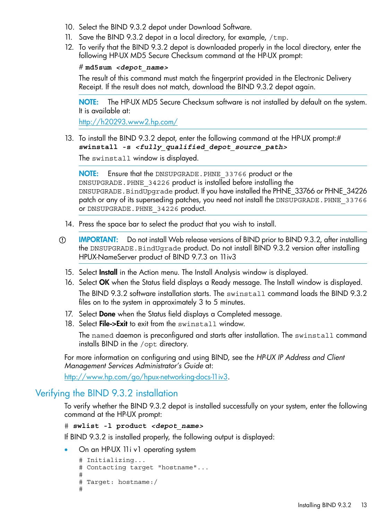- 10. Select the BIND 9.3.2 depot under Download Software.
- 11. Save the BIND 9.3.2 depot in a local directory, for example, /tmp.
- 12. To verify that the BIND 9.3.2 depot is downloaded properly in the local directory, enter the following HP-UX MD5 Secure Checksum command at the HP-UX prompt:

#### # **md5sum** *<depot\_name>*

The result of this command must match the fingerprint provided in the Electronic Delivery Receipt. If the result does not match, download the BIND 9.3.2 depot again.

NOTE: The HP-UX MD5 Secure Checksum software is not installed by default on the system. It is available at:

<http://h20293.www2.hp.com/>

13. To install the BIND 9.3.2 depot, enter the following command at the HP-UX prompt:# **swinstall -s** *<fully\_qualified\_depot\_source\_path>*

The swinstall window is displayed.

NOTE: Ensure that the DNSUPGRADE.PHNE\_33766 product or the DNSUPGRADE. PHNE 34226 product is installed before installing the DNSUPGRADE.BindUpgrade product. If you have installed the PHNE\_33766 or PHNE\_34226 patch or any of its superseding patches, you need not install the DNSUPGRADE. PHNE\_33766 or DNSUPGRADE.PHNE\_34226 product.

- 14. Press the space bar to select the product that you wish to install.
- $\mathbb{O}$ IMPORTANT: Do not install Web release versions of BIND prior to BIND 9.3.2, after installing the DNSUPGRADE.BindUgrade product. Do not install BIND 9.3.2 version after installing HPUX-NameServer product of BIND 9.7.3 on 11iv3
	- 15. Select **Install** in the Action menu. The Install Analysis window is displayed.
	- 16. Select OK when the Status field displays a Ready message. The Install window is displayed. The BIND 9.3.2 software installation starts. The swinstall command loads the BIND 9.3.2 files on to the system in approximately 3 to 5 minutes.
	- 17. Select **Done** when the Status field displays a Completed message.
	- 18. Select **File->Exit** to exit from the swinstall window.

The named daemon is preconfigured and starts after installation. The swinstall command installs BIND in the /opt directory.

<span id="page-12-0"></span>For more information on configuring and using BIND, see the *HP-UX IP Address and Client Management Services Administrator's Guide* at:

http://www.hp.com/go/hpux-networking-docs-11 iv3.

### Verifying the BIND 9.3.2 installation

To verify whether the BIND 9.3.2 depot is installed successfully on your system, enter the following command at the HP-UX prompt:

# **swlist -l product** *<depot\_name>*

If BIND 9.3.2 is installed properly, the following output is displayed:

• On an HP-UX 11i v1 operating system

```
# Initializing...
# Contacting target "hostname"...
#
# Target: hostname:/
#
```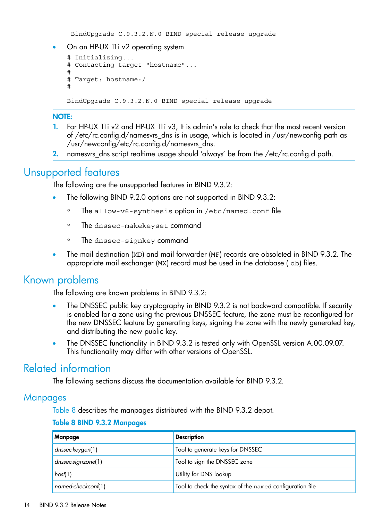BindUpgrade C.9.3.2.N.0 BIND special release upgrade

• On an HP-UX 11i v2 operating system

```
# Initializing...
# Contacting target "hostname"...
#
# Target: hostname:/
#
```
BindUpgrade C.9.3.2.N.0 BIND special release upgrade

#### NOTE:

- 1. For HP-UX 11i v2 and HP-UX 11i v3, It is admin's role to check that the most recent version of /etc/rc.config.d/namesvrs\_dns is in usage, which is located in /usr/newconfig path as /usr/newconfig/etc/rc.config.d/namesvrs\_dns.
- <span id="page-13-0"></span>2. namesvrs\_dns script realtime usage should 'always' be from the /etc/rc.config.d path.

### Unsupported features

The following are the unsupported features in BIND 9.3.2:

- The following BIND 9.2.0 options are not supported in BIND 9.3.2:
	- The allow-v6-synthesis option in /etc/named.conf file
	- The dnssec-makekeyset command
	- The dnssec-signkey command
- <span id="page-13-1"></span>• The mail destination (MD) and mail forwarder (MF) records are obsoleted in BIND 9.3.2. The appropriate mail exchanger (MX) record must be used in the database ( db) files.

### Known problems

The following are known problems in BIND 9.3.2:

- The DNSSEC public key cryptography in BIND 9.3.2 is not backward compatible. If security is enabled for a zone using the previous DNSSEC feature, the zone must be reconfigured for the new DNSSEC feature by generating keys, signing the zone with the newly generated key, and distributing the new public key.
- <span id="page-13-3"></span><span id="page-13-2"></span>The DNSSEC functionality in BIND 9.3.2 is tested only with OpenSSL version A.00.09.07. This functionality may differ with other versions of OpenSSL.

### Related information

<span id="page-13-4"></span>The following sections discuss the documentation available for BIND 9.3.2.

#### **Manpages**

[Table](#page-13-4) 8 describes the manpages distributed with the BIND 9.3.2 depot.

#### Table 8 BIND 9.3.2 Manpages

| Manpage            | <b>Description</b>                                       |
|--------------------|----------------------------------------------------------|
| dnssec-keygen(1)   | Tool to generate keys for DNSSEC                         |
| dnssec-signzone(1) | Tool to sign the DNSSEC zone                             |
| host(1)            | Utility for DNS lookup                                   |
| named-checkconf(1) | Tool to check the syntax of the named configuration file |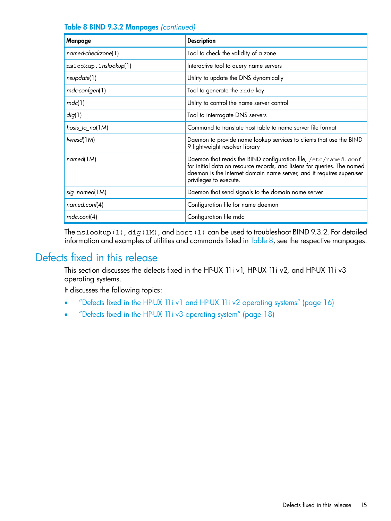| Manpage                  | <b>Description</b>                                                                                                                                                                                                                           |
|--------------------------|----------------------------------------------------------------------------------------------------------------------------------------------------------------------------------------------------------------------------------------------|
| named-checkzone(1)       | Tool to check the validity of a zone                                                                                                                                                                                                         |
| nslookup.1nslookup(1)    | Interactive tool to query name servers                                                                                                                                                                                                       |
| nsupdate(1)              | Utility to update the DNS dynamically                                                                                                                                                                                                        |
| $rndc\text{-}confgen(1)$ | Tool to generate the rndc key                                                                                                                                                                                                                |
| rnc(1)                   | Utility to control the name server control                                                                                                                                                                                                   |
| dig(1)                   | Tool to interrogate DNS servers                                                                                                                                                                                                              |
| hosts_to_na(1M)          | Command to translate host table to name server file format                                                                                                                                                                                   |
| lwresd(1M)               | Daemon to provide name lookup services to clients that use the BIND<br>9 lightweight resolver library                                                                                                                                        |
| named(1M)                | Daemon that reads the BIND configuration file, /etc/named.conf<br>for initial data on resource records, and listens for queries. The named<br>daemon is the Internet domain name server, and it requires superuser<br>privileges to execute. |
| sig_named(1M)            | Daemon that send signals to the domain name server                                                                                                                                                                                           |
| named.conf(4)            | Configuration file for name daemon                                                                                                                                                                                                           |
| rndc.com(4)              | Configuration file rndc                                                                                                                                                                                                                      |

#### Table 8 BIND 9.3.2 Manpages *(continued)*

<span id="page-14-0"></span>The nslookup(1), dig(1M), and host(1) can be used to troubleshoot BIND 9.3.2. For detailed information and examples of utilities and commands listed in [Table](#page-13-4) 8, see the respective manpages.

### Defects fixed in this release

This section discusses the defects fixed in the HP-UX 11i v1, HP-UX 11i v2, and HP-UX 11i v3 operating systems.

It discusses the following topics:

- "Defects fixed in the HP-UX 11i v1 and HP-UX 11i v2 [operating](#page-15-0) systems" (page 16)
- "Defects fixed in the HP-UX 11i v3 [operating](#page-17-0) system" (page 18)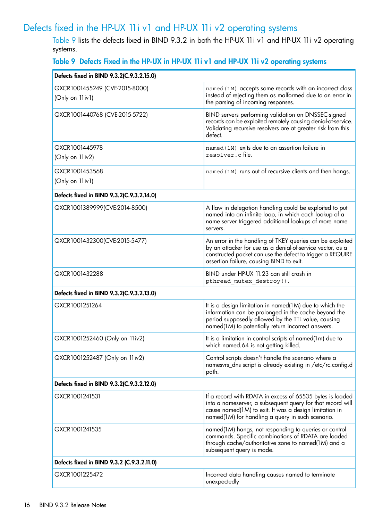### Defects fixed in the HP-UX 11i v1 and HP-UX 11i v2 operating systems

<span id="page-15-0"></span>[Table](#page-15-1) 9 lists the defects fixed in BIND 9.3.2 in both the HP-UX 11i v1 and HP-UX 11i v2 operating systems.

#### <span id="page-15-1"></span>Table 9 Defects Fixed in the HP-UX in HP-UX 11i v1 and HP-UX 11i v2 operating systems

| Defects fixed in BIND 9.3.2(C.9.3.2.15.0)           |                                                                                                                                                                                                                                       |  |
|-----------------------------------------------------|---------------------------------------------------------------------------------------------------------------------------------------------------------------------------------------------------------------------------------------|--|
| QXCR1001455249 (CVE-2015-8000)<br>(Only on 11 iv 1) | named (1M) accepts some records with an incorrect class<br>instead of rejecting them as malformed due to an error in<br>the parsing of incoming responses.                                                                            |  |
| QXCR1001440768 (CVE-2015-5722)                      | BIND servers performing validation on DNSSEC-signed<br>records can be exploited remotely causing denial-of-service.<br>Validating recursive resolvers are at greater risk from this<br>defect.                                        |  |
| QXCR1001445978<br>(Only on 11 iv2)                  | named (1M) exits due to an assertion failure in<br>resolver.cfile.                                                                                                                                                                    |  |
| QXCR1001453568<br>(Only on 11 iv 1)                 | named (1M) runs out of recursive clients and then hangs.                                                                                                                                                                              |  |
| Defects fixed in BIND 9.3.2(C.9.3.2.14.0)           |                                                                                                                                                                                                                                       |  |
| QXCR1001389999(CVE-2014-8500)                       | A flaw in delegation handling could be exploited to put<br>named into an infinite loop, in which each lookup of a<br>name server triggered additional lookups of more name<br>servers.                                                |  |
| QXCR1001432300(CVE-2015-5477)                       | An error in the handling of TKEY queries can be exploited<br>by an attacker for use as a denial-of-service vector, as a<br>constructed packet can use the defect to trigger a REQUIRE<br>assertion failure, causing BIND to exit.     |  |
| QXCR1001432288                                      | BIND under HP-UX 11.23 can still crash in<br>pthread_mutex_destroy().                                                                                                                                                                 |  |
| Defects fixed in BIND 9.3.2(C.9.3.2.13.0)           |                                                                                                                                                                                                                                       |  |
| QXCR1001251264                                      | It is a design limitation in named(1M) due to which the<br>information can be prolonged in the cache beyond the<br>period supposedly allowed by the TTL value, causing<br>named(1M) to potentially return incorrect answers.          |  |
| QXCR1001252460 (Only on 11 iv2)                     | It is a limitation in control scripts of named(1m) due to<br>which named.64 is not getting killed.                                                                                                                                    |  |
| QXCR1001252487 (Only on 11 iv2)                     | Control scripts doesn't handle the scenario where a<br>namesvrs_dns script is already existing in /etc/rc.config.d<br>path.                                                                                                           |  |
| Defects fixed in BIND 9.3.2(C.9.3.2.12.0)           |                                                                                                                                                                                                                                       |  |
| QXCR1001241531                                      | If a record with RDATA in excess of 65535 bytes is loaded<br>into a nameserver, a subsequent query for that record will<br>cause named(1M) to exit. It was a design limitation in<br>named(1M) for handling a query in such scenario. |  |
| QXCR1001241535                                      | named(1M) hangs, not responding to queries or control<br>commands. Specific combinations of RDATA are loaded<br>through cache/authoritative zone to named(1M) and a<br>subsequent query is made.                                      |  |
| Defects fixed in BIND 9.3.2 (C.9.3.2.11.0)          |                                                                                                                                                                                                                                       |  |
| QXCR1001225472                                      | Incorrect data handling causes named to terminate<br>unexpectedly                                                                                                                                                                     |  |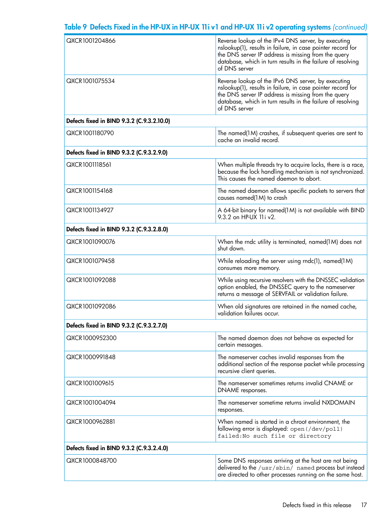### Table 9 Defects Fixed in the HP-UX in HP-UX 11i v1 and HP-UX 11i v2 operating systems *(continued)*

| QXCR1001204866                             | Reverse lookup of the IPv4 DNS server, by executing<br>nslookup(1), results in failure, in case pointer record for<br>the DNS server IP address is missing from the query<br>database, which in turn results in the failure of resolving<br>of DNS server |  |
|--------------------------------------------|-----------------------------------------------------------------------------------------------------------------------------------------------------------------------------------------------------------------------------------------------------------|--|
| QXCR1001075534                             | Reverse lookup of the IPv6 DNS server, by executing<br>nslookup(1), results in failure, in case pointer record for<br>the DNS server IP address is missing from the query<br>database, which in turn results in the failure of resolving<br>of DNS server |  |
| Defects fixed in BIND 9.3.2 (C.9.3.2.10.0) |                                                                                                                                                                                                                                                           |  |
| QXCR1001180790                             | The named(1M) crashes, if subsequent queries are sent to<br>cache an invalid record.                                                                                                                                                                      |  |
| Defects fixed in BIND 9.3.2 (C.9.3.2.9.0)  |                                                                                                                                                                                                                                                           |  |
| QXCR1001118561                             | When multiple threads try to acquire locks, there is a race,<br>because the lock handling mechanism is not synchronized.<br>This causes the named daemon to abort.                                                                                        |  |
| QXCR1001154168                             | The named daemon allows specific packets to servers that<br>causes named(1M) to crash                                                                                                                                                                     |  |
| QXCR1001134927                             | A 64-bit binary for named(1M) is not available with BIND<br>$9.3.2$ on HP-UX 11 i $v2$ .                                                                                                                                                                  |  |
| Defects fixed in BIND 9.3.2 (C.9.3.2.8.0)  |                                                                                                                                                                                                                                                           |  |
| QXCR1001090076                             | When the rndc utility is terminated, named(1M) does not<br>shut down.                                                                                                                                                                                     |  |
| QXCR1001079458                             | While reloading the server using rndc(1), named(1M)<br>consumes more memory.                                                                                                                                                                              |  |
| QXCR1001092088                             | While using recursive resolvers with the DNSSEC validation<br>option enabled, the DNSSEC query to the nameserver<br>returns a message of SERVFAIL or validation failure.                                                                                  |  |
| QXCR1001092086                             | When old signatures are retained in the named cache,<br>validation failures occur.                                                                                                                                                                        |  |
| Defects fixed in BIND 9.3.2 (C.9.3.2.7.0)  |                                                                                                                                                                                                                                                           |  |
| QXCR1000952300                             | The named daemon does not behave as expected for<br>certain messages.                                                                                                                                                                                     |  |
| QXCR1000991848                             | The nameserver caches invalid responses from the<br>additional section of the response packet while processing<br>recursive client queries.                                                                                                               |  |
| QXCR1001009615                             | The nameserver sometimes returns invalid CNAME or<br>DNAME responses.                                                                                                                                                                                     |  |
| QXCR1001004094                             | The nameserver sometime returns invalid NXDOMAIN<br>responses.                                                                                                                                                                                            |  |
| QXCR1000962881                             | When named is started in a chroot environment, the<br>following error is displayed: open (/dev/po11)<br>failed: No such file or directory                                                                                                                 |  |
| Defects fixed in BIND 9.3.2 (C.9.3.2.4.0)  |                                                                                                                                                                                                                                                           |  |
| QXCR1000848700                             | Some DNS responses arriving at the host are not being<br>delivered to the /usr/sbin/ named process but instead<br>are directed to other processes running on the same host.                                                                               |  |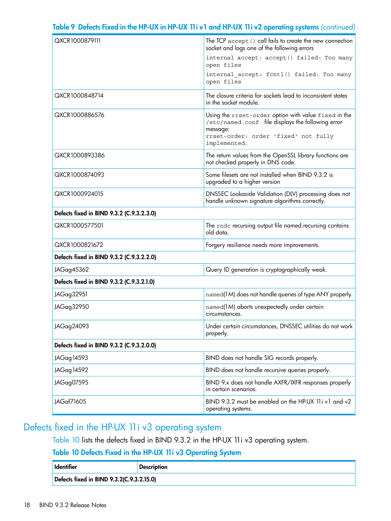#### The TCP accept() call fails to create the new connection socket and logs one of the following errors QXCR1000879111 internal accept: accept() failed: Too many open files internal\_accept: fcntl() failed: Too many open files The closure criteria for sockets lead to inconsistent states in the socket module. QXCR1000848714 Using the rrset-order option with value fixed in the /etc/named.conf file displays the following error message: QXCR1000886576 rrset-order: order 'fixed' not fully implemented. The return values from the OpenSSL library functions are not checked properly in DNS code. QXCR1000893386 Some filesets are not installed when BIND 9.3.2 is upgraded to a higher version QXCR1000874093 DNSSEC Lookaside Validation (DLV) processing does not handle unknown signature algorithms correctly. QXCR1000924015 Defects fixed in BIND 9.3.2 (C.9.3.2.3.0) The rndc recursing output file named.recursing contains old data. QXCR1000577501 QXCR1000821672 Forgery resilience needs more improvements. Defects fixed in BIND 9.3.2 (C.9.3.2.2.0) JAGag45362 Query ID generation is cryptographically weak. Defects fixed in BIND 9.3.2 (C.9.3.2.1.0) JAGag32951 named(1M) does not handle queries of type ANY properly. named(1M) aborts unexpectedly under certain circumstances. JAGag32950 Under certain circumstances, DNSSEC utilities do not work properly. JAGag24093 Defects fixed in BIND 9.3.2 (C.9.3.2.0.0) JAGag14593 BIND does not handle SIG records properly. JAGag14592 BIND does not handle recursive queries properly. BIND 9.x does not handle AXFR/IXFR responses properly in certain scenarios. JAGag07595 BIND 9.3.2 must be enabled on the HP-UX 11i v1 and v2 operating systems. JAGaf71605

### Table 9 Defects Fixed in the HP-UX in HP-UX 11i v1 and HP-UX 11i v2 operating systems *(continued)*

### <span id="page-17-1"></span><span id="page-17-0"></span>Defects fixed in the HP-UX 11i v3 operating system

[Table](#page-17-1) 10 lists the defects fixed in BIND 9.3.2 in the HP-UX 11i v3 operating system.

### Table 10 Defects Fixed in the HP-UX 11i v3 Operating System

| Identifier                                | Description |
|-------------------------------------------|-------------|
| Defects fixed in BIND 9.3.2(C.9.3.2.15.0) |             |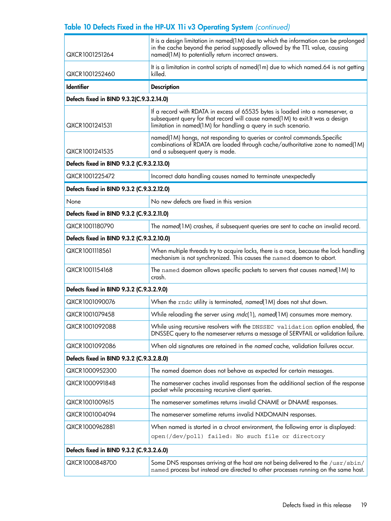### Table 10 Defects Fixed in the HP-UX 11i v3 Operating System *(continued)*

| QXCR1001251264                             | It is a design limitation in named(1M) due to which the information can be prolonged<br>in the cache beyond the period supposedly allowed by the TTL value, causing<br>named(1M) to potentially return incorrect answers.         |  |  |
|--------------------------------------------|-----------------------------------------------------------------------------------------------------------------------------------------------------------------------------------------------------------------------------------|--|--|
| QXCR1001252460                             | It is a limitation in control scripts of named(1m) due to which named.64 is not getting<br>killed.                                                                                                                                |  |  |
| <b>Identifier</b>                          | <b>Description</b>                                                                                                                                                                                                                |  |  |
| Defects fixed in BIND 9.3.2(C.9.3.2.14.0)  |                                                                                                                                                                                                                                   |  |  |
| QXCR1001241531                             | If a record with RDATA in excess of 65535 bytes is loaded into a nameserver, a<br>subsequent query for that record will cause named(1M) to exit.It was a design<br>limitation in named(1M) for handling a query in such scenario. |  |  |
| QXCR1001241535                             | named(1M) hangs, not responding to queries or control commands. Specific<br>combinations of RDATA are loaded through cache/authoritative zone to named(1M)<br>and a subsequent query is made.                                     |  |  |
| Defects fixed in BIND 9.3.2 (C.9.3.2.13.0) |                                                                                                                                                                                                                                   |  |  |
| QXCR1001225472                             | Incorrect data handling causes named to terminate unexpectedly                                                                                                                                                                    |  |  |
| Defects fixed in BIND 9.3.2 (C.9.3.2.12.0) |                                                                                                                                                                                                                                   |  |  |
| None                                       | No new defects are fixed in this version                                                                                                                                                                                          |  |  |
| Defects fixed in BIND 9.3.2 (C.9.3.2.11.0) |                                                                                                                                                                                                                                   |  |  |
| QXCR1001180790                             | The named(1M) crashes, if subsequent queries are sent to cache an invalid record.                                                                                                                                                 |  |  |
|                                            | Defects fixed in BIND 9.3.2 (C.9.3.2.10.0)                                                                                                                                                                                        |  |  |
| QXCR1001118561                             | When multiple threads try to acquire locks, there is a race, because the lock handling<br>mechanism is not synchronized. This causes the named daemon to abort.                                                                   |  |  |
| QXCR1001154168                             | The named daemon allows specific packets to servers that causes named(1M) to<br>crash.                                                                                                                                            |  |  |
| Defects fixed in BIND 9.3.2 (C.9.3.2.9.0)  |                                                                                                                                                                                                                                   |  |  |
| QXCR1001090076                             | When the rndc utility is terminated, named(1M) does not shut down.                                                                                                                                                                |  |  |
| QXCR1001079458                             | While reloading the server using rndc(1), named(1M) consumes more memory.                                                                                                                                                         |  |  |
| QXCR1001092088                             | While using recursive resolvers with the DNSSEC validation option enabled, the<br>DNSSEC query to the nameserver returns a message of SERVFAIL or validation failure.                                                             |  |  |
| QXCR1001092086                             | When old signatures are retained in the named cache, validation failures occur.                                                                                                                                                   |  |  |
| Defects fixed in BIND 9.3.2 (C.9.3.2.8.0)  |                                                                                                                                                                                                                                   |  |  |
| QXCR1000952300                             | The named daemon does not behave as expected for certain messages.                                                                                                                                                                |  |  |
| QXCR1000991848                             | The nameserver caches invalid responses from the additional section of the response<br>packet while processing recursive client queries.                                                                                          |  |  |
| QXCR1001009615                             | The nameserver sometimes returns invalid CNAME or DNAME responses.                                                                                                                                                                |  |  |
| QXCR1001004094                             | The nameserver sometime returns invalid NXDOMAIN responses.                                                                                                                                                                       |  |  |
| QXCR1000962881                             | When named is started in a chroot environment, the following error is displayed:<br>open(/dev/poll) failed: No such file or directory                                                                                             |  |  |
| Defects fixed in BIND 9.3.2 (C.9.3.2.6.0)  |                                                                                                                                                                                                                                   |  |  |
| QXCR1000848700                             | Some DNS responses arriving at the host are not being delivered to the /usr/sbin/<br>named process but instead are directed to other processes running on the same host.                                                          |  |  |